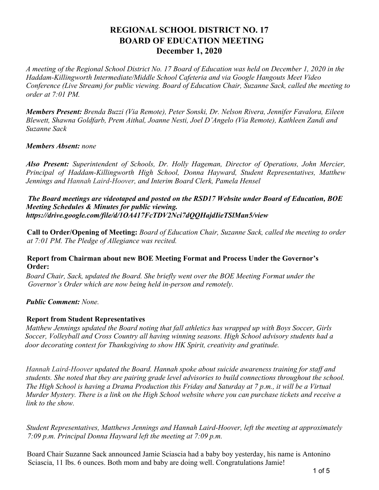# **REGIONAL SCHOOL DISTRICT NO. 17 BOARD OF EDUCATION MEETING December 1, 2020**

*A meeting of the Regional School District No. 17 Board of Education was held on December 1, 2020 in the Haddam-Killingworth Intermediate/Middle School Cafeteria and via Google Hangouts Meet Video Conference (Live Stream) for public viewing. Board of Education Chair, Suzanne Sack, called the meeting to order at 7:01 PM.*

*Members Present: Brenda Buzzi (Via Remote), Peter Sonski, Dr. Nelson Rivera, Jennifer Favalora, Eileen Blewett, Shawna Goldfarb, Prem Aithal, Joanne Nesti, Joel D'Angelo (Via Remote), Kathleen Zandi and Suzanne Sack*

#### *Members Absent: none*

*Also Present: Superintendent of Schools, Dr. Holly Hageman, Director of Operations, John Mercier, Principal of Haddam-Killingworth High School, Donna Hayward, Student Representatives, Matthew Jennings and Hannah Laird-Hoover, and Interim Board Clerk, Pamela Hensel*

#### *The Board meetings are videotaped and posted on the RSD17 Website under Board of Education, BOE Meeting Schedules & Minutes for public viewing. https://drive.google.com/file/d/1OA417FcTDV2Nci7dQQHajdIieTSlMan5/view*

**Call to Order/Opening of Meeting:** *Board of Education Chair, Suzanne Sack, called the meeting to order at 7:01 PM. The Pledge of Allegiance was recited.*

#### **Report from Chairman about new BOE Meeting Format and Process Under the Governor's Order:**

*Board Chair, Sack, updated the Board. She briefly went over the BOE Meeting Format under the Governor's Order which are now being held in-person and remotely.*

## *Public Comment: None.*

#### **Report from Student Representatives**

*Matthew Jennings updated the Board noting that fall athletics has wrapped up with Boys Soccer, Girls Soccer, Volleyball and Cross Country all having winning seasons. High School advisory students had a door decorating contest for Thanksgiving to show HK Spirit, creativity and gratitude.*

*Hannah Laird-Hoover updated the Board. Hannah spoke about suicide awareness training for staff and students. She noted that they are pairing grade level advisories to build connections throughout the school. The High School is having a Drama Production this Friday and Saturday at 7 p.m., it will be a Virtual Murder Mystery. There is a link on the High School website where you can purchase tickets and receive a link to the show.*

*Student Representatives, Matthews Jennings and Hannah Laird-Hoover, left the meeting at approximately 7:09 p.m. Principal Donna Hayward left the meeting at 7:09 p.m.*

Board Chair Suzanne Sack announced Jamie Sciascia had a baby boy yesterday, his name is Antonino Sciascia, 11 lbs. 6 ounces. Both mom and baby are doing well. Congratulations Jamie!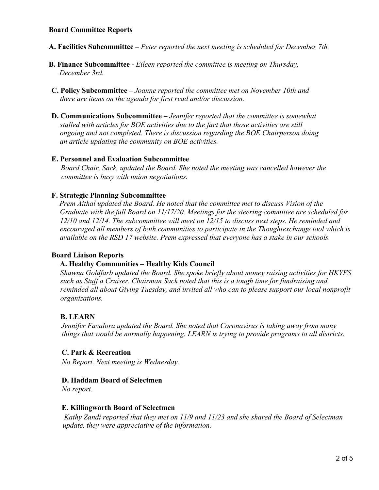- **A. Facilities Subcommittee** *Peter reported the next meeting is scheduled for December 7th.*
- **B. Finance Subcommittee** *Eileen reported the committee is meeting on Thursday, December 3rd.*
- **C. Policy Subcommittee** *Joanne reported the committee met on November 10th and there are items on the agenda for first read and/or discussion.*
- **D. Communications Subcommittee** *Jennifer reported that the committee is somewhat stalled with articles for BOE activities due to the fact that those activities are still ongoing and not completed. There is discussion regarding the BOE Chairperson doing an article updating the community on BOE activities.*

#### **E. Personnel and Evaluation Subcommittee**

*Board Chair, Sack, updated the Board. She noted the meeting was cancelled however the committee is busy with union negotiations.*

#### **F. Strategic Planning Subcommittee**

*Prem Aithal updated the Board. He noted that the committee met to discuss Vision of the Graduate with the full Board on 11/17/20. Meetings for the steering committee are scheduled for 12/10 and 12/14. The subcommittee will meet on 12/15 to discuss next steps. He reminded and encouraged all members of both communities to participate in the Thoughtexchange tool which is available on the RSD 17 website. Prem expressed that everyone has a stake in our schools.*

#### **Board Liaison Reports**

#### **A. Healthy Communities – Healthy Kids Council**

*Shawna Goldfarb updated the Board. She spoke briefly about money raising activities for HKYFS such as Stuff a Cruiser. Chairman Sack noted that this is a tough time for fundraising and reminded all about Giving Tuesday, and invited all who can to please support our local nonprofit organizations.*

## **B. LEARN**

*Jennifer Favalora updated the Board. She noted that Coronavirus is taking away from many things that would be normally happening. LEARN is trying to provide programs to all districts.*

## **C. Park & Recreation**

*No Report. Next meeting is Wednesday.*

#### **D. Haddam Board of Selectmen**

*No report.*

#### **E. Killingworth Board of Selectmen**

*Kathy Zandi reported that they met on 11/9 and 11/23 and she shared the Board of Selectman update, they were appreciative of the information.*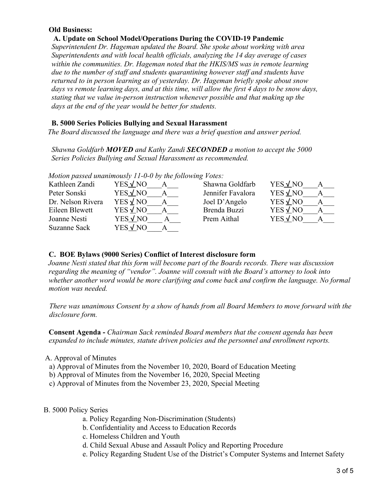## **Old Business:**

 **A. Update on School Model/Operations During the COVID-19 Pandemic**

*Superintendent Dr. Hageman updated the Board. She spoke about working with area Superintendents and with local health officials, analyzing the 14 day average of cases within the communities. Dr. Hageman noted that the HKIS/MS was in remote learning due to the number of staff and students quarantining however staff and students have returned to in person learning as of yesterday. Dr. Hageman briefly spoke about snow days vs remote learning days, and at this time, will allow the first 4 days to be snow days, stating that we value in-person instruction whenever possible and that making up the days at the end of the year would be better for students.*

#### **B. 5000 Series Policies Bullying and Sexual Harassment**

*The Board discussed the language and there was a brief question and answer period.*

*Shawna Goldfarb MOVED and Kathy Zandi SECONDED a motion to accept the 5000 Series Policies Bullying and Sexual Harassment as recommended.*

| Kathleen Zandi    | YES√NO          | Shawna Goldfarb   | $YES \sqrt NO$  |
|-------------------|-----------------|-------------------|-----------------|
| Peter Sonski      | YES√NO          | Jennifer Favalora | YES $\sqrt{NO}$ |
| Dr. Nelson Rivera | YES√NO          | Joel D'Angelo     | YES $\sqrt{NO}$ |
| Eileen Blewett    | YES√NO          | Brenda Buzzi      | YES $\sqrt{NO}$ |
| Joanne Nesti      | YES <u>√</u> NO | Prem Aithal       | YES $\sqrt{NO}$ |
| Suzanne Sack      | YES√NO          |                   |                 |

*Motion passed unanimously 11-0-0 by the following Votes:*

#### **C. BOE Bylaws (9000 Series) Conflict of Interest disclosure form**

*Joanne Nesti stated that this form will become part of the Boards records. There was discussion regarding the meaning of "vendor". Joanne will consult with the Board's attorney to look into whether another word would be more clarifying and come back and confirm the language. No formal motion was needed.*

*There was unanimous Consent by a show of hands from all Board Members to move forward with the disclosure form.*

**Consent Agenda -** *Chairman Sack reminded Board members that the consent agenda has been expanded to include minutes, statute driven policies and the personnel and enrollment reports.*

#### A. Approval of Minutes

- a) Approval of Minutes from the November 10, 2020, Board of Education Meeting
- b) Approval of Minutes from the November 16, 2020, Special Meeting
- c) Approval of Minutes from the November 23, 2020, Special Meeting

#### B. 5000 Policy Series

- a. Policy Regarding Non-Discrimination (Students)
- b. Confidentiality and Access to Education Records
- c. Homeless Children and Youth
- d. Child Sexual Abuse and Assault Policy and Reporting Procedure
- e. Policy Regarding Student Use of the District's Computer Systems and Internet Safety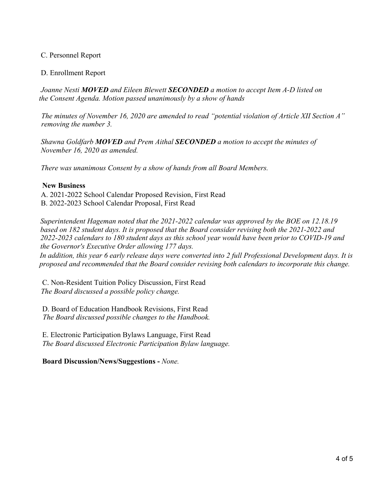## C. Personnel Report

## D. Enrollment Report

*Joanne Nesti MOVED and Eileen Blewett SECONDED a motion to accept Item A-D listed on the Consent Agenda. Motion passed unanimously by a show of hands*

*The minutes of November 16, 2020 are amended to read "potential violation of Article XII Section A" removing the number 3.*

*Shawna Goldfarb MOVED and Prem Aithal SECONDED a motion to accept the minutes of November 16, 2020 as amended.*

 *There was unanimous Consent by a show of hands from all Board Members.*

#### **New Business**

A. 2021-2022 School Calendar Proposed Revision, First Read B. 2022-2023 School Calendar Proposal, First Read

*Superintendent Hageman noted that the 2021-2022 calendar was approved by the BOE on 12.18.19 based on 182 student days. It is proposed that the Board consider revising both the 2021-2022 and 2022-2023 calendars to 180 student days as this school year would have been prior to COVID-19 and the Governor's Executive Order allowing 177 days.*

*In addition, this year 6 early release days were converted into 2 full Professional Development days. It is proposed and recommended that the Board consider revising both calendars to incorporate this change.*

C. Non-Resident Tuition Policy Discussion, First Read *The Board discussed a possible policy change.*

D. Board of Education Handbook Revisions, First Read *The Board discussed possible changes to the Handbook.*

E. Electronic Participation Bylaws Language, First Read *The Board discussed Electronic Participation Bylaw language.*

#### **Board Discussion/News/Suggestions -** *None.*